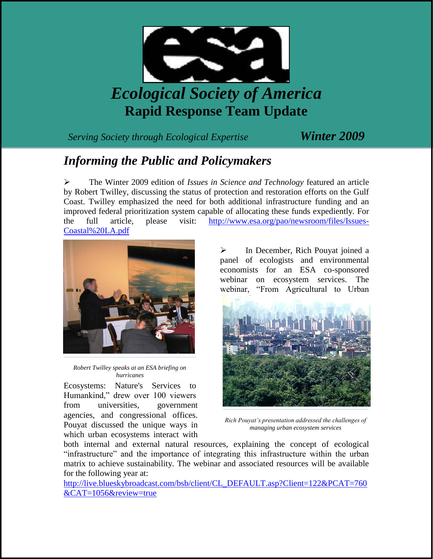

## *Ecological Society of America* **Rapid Response Team Update**

*Serving Society through Ecological Expertise Winter 2009*

## *Informing the Public and Policymakers*

 The Winter 2009 edition of *Issues in Science and Technology* featured an article by Robert Twilley, discussing the status of protection and restoration efforts on the Gulf Coast. Twilley emphasized the need for both additional infrastructure funding and an improved federal prioritization system capable of allocating these funds expediently. For the full article, please visit: [http://www.esa.org/pao/newsroom/files/Issues-](http://www.esa.org/pao/newsroom/files/Issues-Coastal%20LA.pdf)[Coastal%20LA.pdf](http://www.esa.org/pao/newsroom/files/Issues-Coastal%20LA.pdf)



*Robert Twilley speaks at an ESA briefing on hurricanes*

Ecosystems: Nature's Services to Humankind," drew over 100 viewers from universities, government agencies, and congressional offices. Pouyat discussed the unique ways in which urban ecosystems interact with

 In December, Rich Pouyat joined a panel of ecologists and environmental economists for an ESA co-sponsored webinar on ecosystem services. The webinar, "From Agricultural to Urban



*Rich Pouyat's presentation addressed the challenges of managing urban ecosystem services*

both internal and external natural resources, explaining the concept of ecological "infrastructure" and the importance of integrating this infrastructure within the urban matrix to achieve sustainability. The webinar and associated resources will be available for the following year at:

[http://live.blueskybroadcast.com/bsb/client/CL\\_DEFAULT.asp?Client=122&PCAT=760](http://live.blueskybroadcast.com/bsb/client/CL_DEFAULT.asp?Client=122&PCAT=760&CAT=1056&review=true) [&CAT=1056&review=true](http://live.blueskybroadcast.com/bsb/client/CL_DEFAULT.asp?Client=122&PCAT=760&CAT=1056&review=true)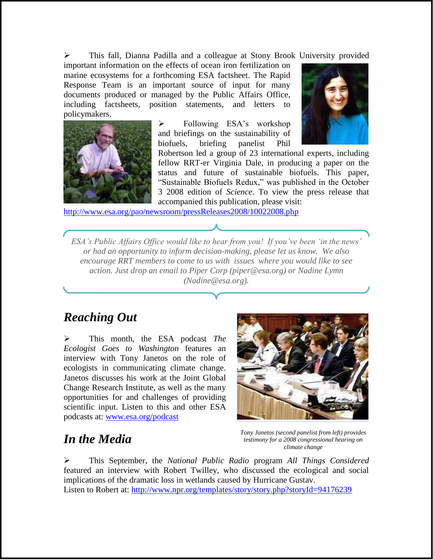This fall, Dianna Padilla and a colleague at Stony Brook University provided

important information on the effects of ocean iron fertilization on marine ecosystems for a forthcoming ESA factsheet. The Rapid Response Team is an important source of input for many documents produced or managed by the Public Affairs Office, including factsheets, position statements, and letters to policymakers.



 $\triangleright$  Following ESA's workshop and briefings on the sustainability of biofuels, briefing panelist Phil



Robertson led a group of 23 international experts, including fellow RRT-er Virginia Dale, in producing a paper on the status and future of sustainable biofuels. This paper, "Sustainable Biofuels Redux," was published in the October 3 2008 edition of *Science*. To view the press release that accompanied this publication, please visit:

<http://www.esa.org/pao/newsroom/pressReleases2008/10022008.php>

*ESA's Public Affairs Office would like to hear from you! If you've been 'in the news' or had an opportunity to inform decision-making, please let us know. We also encourage RRT members to come to us with issues where you would like to see action. Just drop an email to Piper Corp (piper@esa.org) or Nadine Lymn (Nadine@esa.org).*

## *Reaching Out*

 This month, the ESA podcast *The Ecologist Goes to Washington* features an interview with Tony Janetos on the role of ecologists in communicating climate change. Janetos discusses his work at the Joint Global Change Research Institute, as well as the many opportunities for and challenges of providing scientific input. Listen to this and other ESA podcasts at: [www.esa.org/podcast](http://www.esa.org/podcast)



## *In the Media*

*Tony Janetos (second panelist from left) provides testimony for a 2008 congressional hearing on climate change* 

 This September, the *National Public Radio* program *All Things Considered*  featured an interview with Robert Twilley, who discussed the ecological and social implications of the dramatic loss in wetlands caused by Hurricane Gustav. Listen to Robert at:<http://www.npr.org/templates/story/story.php?storyId=94176239>